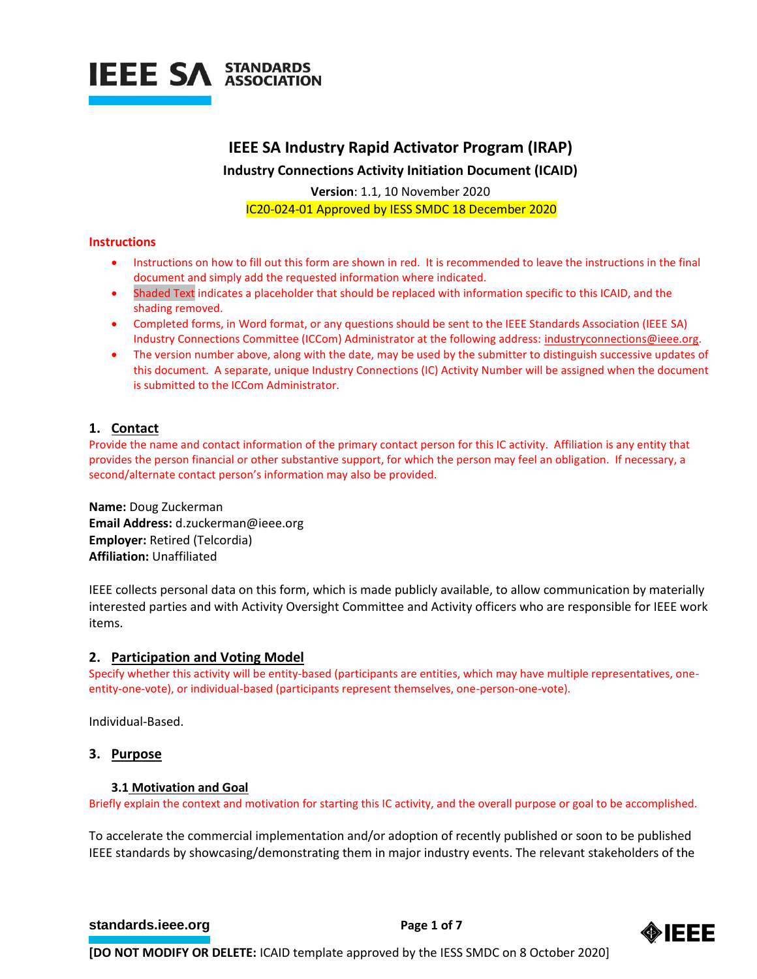

# **IEEE SA Industry Rapid Activator Program (IRAP)**

**Industry Connections Activity Initiation Document (ICAID)**

**Version**: 1.1, 10 November 2020 IC20-024-01 Approved by IESS SMDC 18 December 2020

#### **Instructions**

- Instructions on how to fill out this form are shown in red. It is recommended to leave the instructions in the final document and simply add the requested information where indicated.
- Shaded Text indicates a placeholder that should be replaced with information specific to this ICAID, and the shading removed.
- Completed forms, in Word format, or any questions should be sent to the IEEE Standards Association (IEEE SA) Industry Connections Committee (ICCom) Administrator at the following address: [industryconnections@ieee.org.](mailto:industryconnections@ieee.org)
- The version number above, along with the date, may be used by the submitter to distinguish successive updates of this document. A separate, unique Industry Connections (IC) Activity Number will be assigned when the document is submitted to the ICCom Administrator.

# **1. Contact**

Provide the name and contact information of the primary contact person for this IC activity. Affiliation is any entity that provides the person financial or other substantive support, for which the person may feel an obligation. If necessary, a second/alternate contact person's information may also be provided.

**Name:** Doug Zuckerman **Email Address:** d.zuckerman@ieee.org **Employer:** Retired (Telcordia) **Affiliation:** Unaffiliated

IEEE collects personal data on this form, which is made publicly available, to allow communication by materially interested parties and with Activity Oversight Committee and Activity officers who are responsible for IEEE work items.

#### **2. Participation and Voting Model**

Specify whether this activity will be entity-based (participants are entities, which may have multiple representatives, oneentity-one-vote), or individual-based (participants represent themselves, one-person-one-vote).

Individual-Based.

#### **3. Purpose**

#### **3.1 Motivation and Goal**

Briefly explain the context and motivation for starting this IC activity, and the overall purpose or goal to be accomplished.

To accelerate the commercial implementation and/or adoption of recently published or soon to be published IEEE standards by showcasing/demonstrating them in major industry events. The relevant stakeholders of the

#### **[standards.ieee.org](http://standards.ieee.org/) EXECUTE: Page 1 of 7**

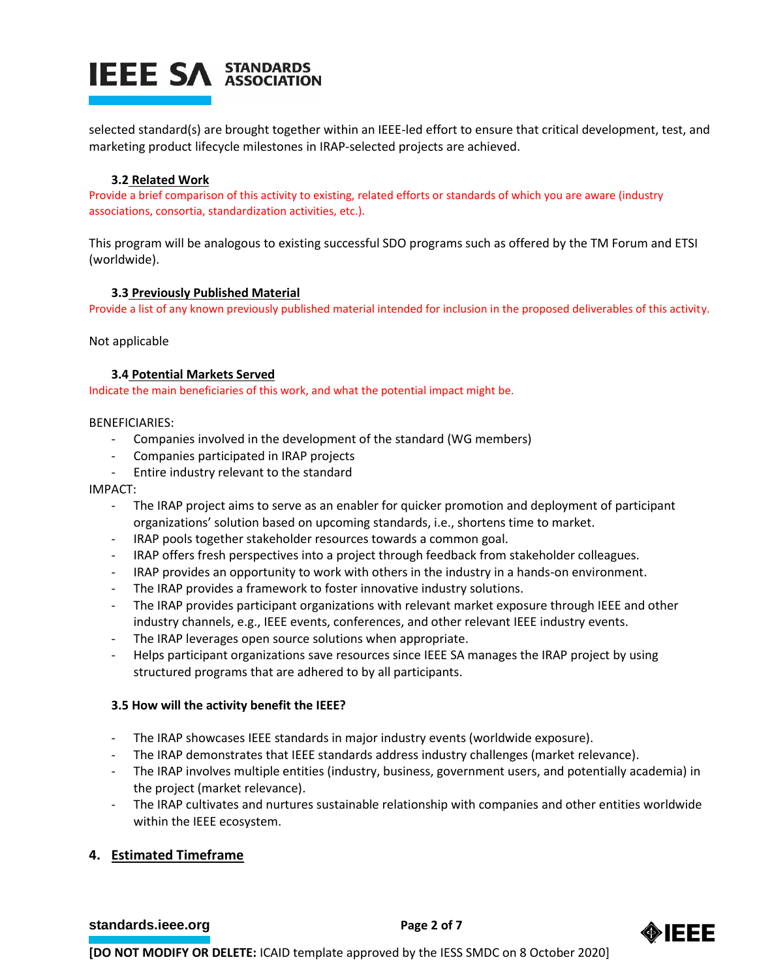

selected standard(s) are brought together within an IEEE-led effort to ensure that critical development, test, and marketing product lifecycle milestones in IRAP-selected projects are achieved.

#### **3.2 Related Work**

Provide a brief comparison of this activity to existing, related efforts or standards of which you are aware (industry associations, consortia, standardization activities, etc.).

This program will be analogous to existing successful SDO programs such as offered by the TM Forum and ETSI (worldwide).

#### **3.3 Previously Published Material**

Provide a list of any known previously published material intended for inclusion in the proposed deliverables of this activity.

Not applicable

#### **3.4 Potential Markets Served**

Indicate the main beneficiaries of this work, and what the potential impact might be.

#### BENEFICIARIES:

- Companies involved in the development of the standard (WG members)
- Companies participated in IRAP projects
- Entire industry relevant to the standard

### IMPACT:

- The IRAP project aims to serve as an enabler for quicker promotion and deployment of participant organizations' solution based on upcoming standards, i.e., shortens time to market.
- IRAP pools together stakeholder resources towards a common goal.
- IRAP offers fresh perspectives into a project through feedback from stakeholder colleagues.
- IRAP provides an opportunity to work with others in the industry in a hands-on environment.
- The IRAP provides a framework to foster innovative industry solutions.
- The IRAP provides participant organizations with relevant market exposure through IEEE and other industry channels, e.g., IEEE events, conferences, and other relevant IEEE industry events.
- The IRAP leverages open source solutions when appropriate.
- Helps participant organizations save resources since IEEE SA manages the IRAP project by using structured programs that are adhered to by all participants.

#### **3.5 How will the activity benefit the IEEE?**

- The IRAP showcases IEEE standards in major industry events (worldwide exposure).
- The IRAP demonstrates that IEEE standards address industry challenges (market relevance).
- The IRAP involves multiple entities (industry, business, government users, and potentially academia) in the project (market relevance).
- The IRAP cultivates and nurtures sustainable relationship with companies and other entities worldwide within the IEEE ecosystem.

# **4. Estimated Timeframe**

**[standards.ieee.org](http://standards.ieee.org/) EXECUTE: Page 2 of 7** 

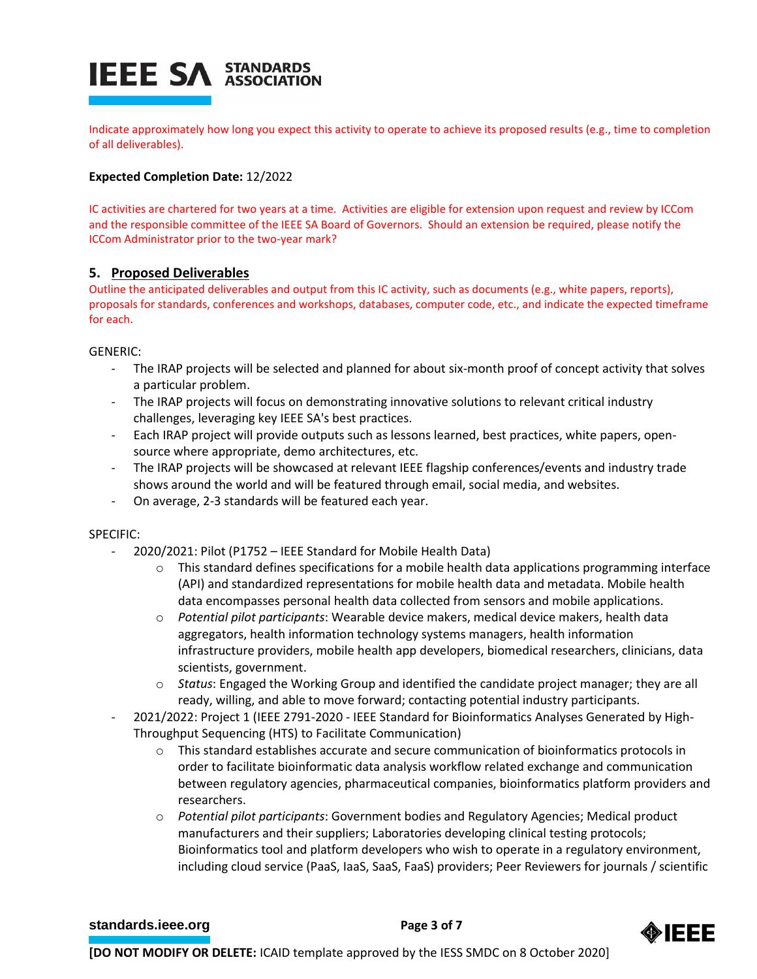# **IEEE SA STANDARDS**

Indicate approximately how long you expect this activity to operate to achieve its proposed results (e.g., time to completion of all deliverables).

# **Expected Completion Date:** 12/2022

IC activities are chartered for two years at a time. Activities are eligible for extension upon request and review by ICCom and the responsible committee of the IEEE SA Board of Governors. Should an extension be required, please notify the ICCom Administrator prior to the two-year mark?

# **5. Proposed Deliverables**

Outline the anticipated deliverables and output from this IC activity, such as documents (e.g., white papers, reports), proposals for standards, conferences and workshops, databases, computer code, etc., and indicate the expected timeframe for each.

GENERIC:

- The IRAP projects will be selected and planned for about six-month proof of concept activity that solves a particular problem.
- The IRAP projects will focus on demonstrating innovative solutions to relevant critical industry challenges, leveraging key IEEE SA's best practices.
- Each IRAP project will provide outputs such as lessons learned, best practices, white papers, opensource where appropriate, demo architectures, etc.
- The IRAP projects will be showcased at relevant IEEE flagship conferences/events and industry trade shows around the world and will be featured through email, social media, and websites.
- On average, 2-3 standards will be featured each year.

#### SPECIFIC:

- 2020/2021: Pilot (P1752 IEEE Standard for Mobile Health Data)
	- $\circ$  This standard defines specifications for a mobile health data applications programming interface (API) and standardized representations for mobile health data and metadata. Mobile health data encompasses personal health data collected from sensors and mobile applications.
	- o *Potential pilot participants*: Wearable device makers, medical device makers, health data aggregators, health information technology systems managers, health information infrastructure providers, mobile health app developers, biomedical researchers, clinicians, data scientists, government.
	- o *Status*: Engaged the Working Group and identified the candidate project manager; they are all ready, willing, and able to move forward; contacting potential industry participants.
- 2021/2022: Project 1 (IEEE 2791-2020 IEEE Standard for Bioinformatics Analyses Generated by High-Throughput Sequencing (HTS) to Facilitate Communication)
	- $\circ$  This standard establishes accurate and secure communication of bioinformatics protocols in order to facilitate bioinformatic data analysis workflow related exchange and communication between regulatory agencies, pharmaceutical companies, bioinformatics platform providers and researchers.
	- o *Potential pilot participants*: Government bodies and Regulatory Agencies; Medical product manufacturers and their suppliers; Laboratories developing clinical testing protocols; Bioinformatics tool and platform developers who wish to operate in a regulatory environment, including cloud service (PaaS, IaaS, SaaS, FaaS) providers; Peer Reviewers for journals / scientific

#### **[standards.ieee.org](http://standards.ieee.org/)**<br> **Page 3 of 7**

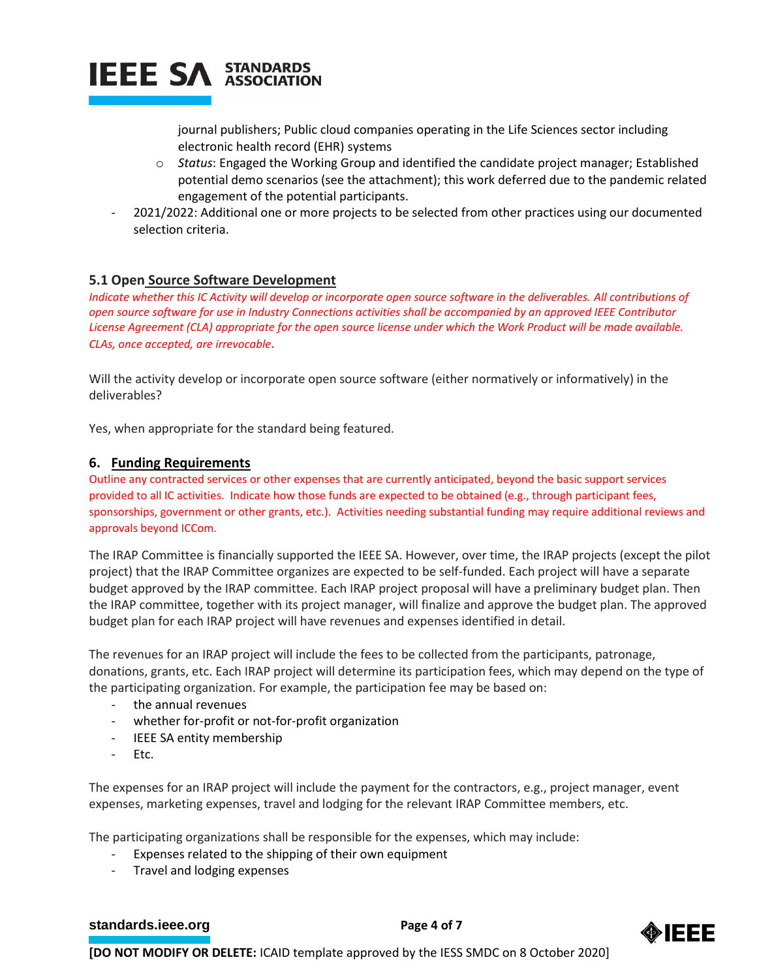

journal publishers; Public cloud companies operating in the Life Sciences sector including electronic health record (EHR) systems

- o *Status*: Engaged the Working Group and identified the candidate project manager; Established potential demo scenarios (see the attachment); this work deferred due to the pandemic related engagement of the potential participants.
- 2021/2022: Additional one or more projects to be selected from other practices using our documented selection criteria.

# **5.1 Open Source Software Development**

*Indicate whether this IC Activity will develop or incorporate open source software in the deliverables. All contributions of open source software for use in Industry Connections activities shall be accompanied by an approved IEEE Contributor License Agreement (CLA) appropriate for the open source license under which the Work Product will be made available. CLAs, once accepted, are irrevocable.*

Will the activity develop or incorporate open source software (either normatively or informatively) in the deliverables?

Yes, when appropriate for the standard being featured.

# **6. Funding Requirements**

Outline any contracted services or other expenses that are currently anticipated, beyond the basic support services provided to all IC activities. Indicate how those funds are expected to be obtained (e.g., through participant fees, sponsorships, government or other grants, etc.). Activities needing substantial funding may require additional reviews and approvals beyond ICCom.

The IRAP Committee is financially supported the IEEE SA. However, over time, the IRAP projects (except the pilot project) that the IRAP Committee organizes are expected to be self-funded. Each project will have a separate budget approved by the IRAP committee. Each IRAP project proposal will have a preliminary budget plan. Then the IRAP committee, together with its project manager, will finalize and approve the budget plan. The approved budget plan for each IRAP project will have revenues and expenses identified in detail.

The revenues for an IRAP project will include the fees to be collected from the participants, patronage, donations, grants, etc. Each IRAP project will determine its participation fees, which may depend on the type of the participating organization. For example, the participation fee may be based on:

- the annual revenues
- whether for-profit or not-for-profit organization
- IEEE SA entity membership
- Etc.

The expenses for an IRAP project will include the payment for the contractors, e.g., project manager, event expenses, marketing expenses, travel and lodging for the relevant IRAP Committee members, etc.

The participating organizations shall be responsible for the expenses, which may include:

- Expenses related to the shipping of their own equipment
- Travel and lodging expenses

**[standards.ieee.org](http://standards.ieee.org/)** Page 4 of 7

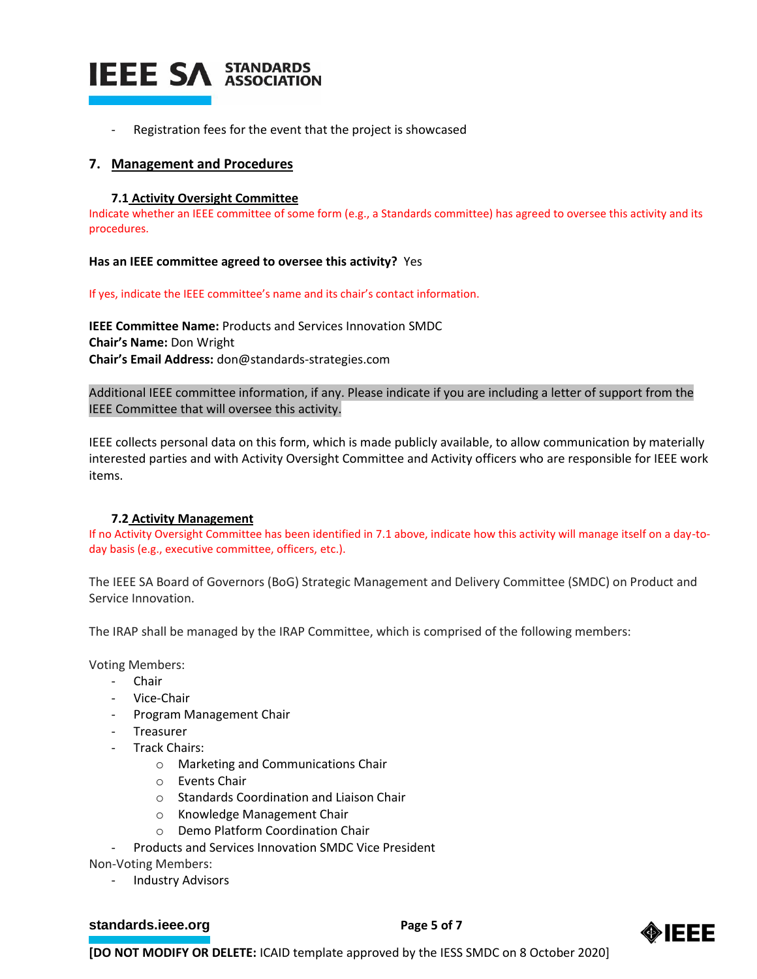

Registration fees for the event that the project is showcased

#### **7. Management and Procedures**

#### **7.1 Activity Oversight Committee**

Indicate whether an IEEE committee of some form (e.g., a Standards committee) has agreed to oversee this activity and its procedures.

**Has an IEEE committee agreed to oversee this activity?** Yes

If yes, indicate the IEEE committee's name and its chair's contact information.

**IEEE Committee Name:** Products and Services Innovation SMDC **Chair's Name:** Don Wright **Chair's Email Address:** don@standards-strategies.com

Additional IEEE committee information, if any. Please indicate if you are including a letter of support from the IEEE Committee that will oversee this activity.

IEEE collects personal data on this form, which is made publicly available, to allow communication by materially interested parties and with Activity Oversight Committee and Activity officers who are responsible for IEEE work items.

#### **7.2 Activity Management**

If no Activity Oversight Committee has been identified in 7.1 above, indicate how this activity will manage itself on a day-today basis (e.g., executive committee, officers, etc.).

The IEEE SA Board of Governors (BoG) Strategic Management and Delivery Committee (SMDC) on Product and Service Innovation.

The IRAP shall be managed by the IRAP Committee, which is comprised of the following members:

Voting Members:

- Chair
- Vice-Chair
- Program Management Chair
- Treasurer
- Track Chairs:
	- o Marketing and Communications Chair
	- o Events Chair
	- o Standards Coordination and Liaison Chair
	- o Knowledge Management Chair
	- o Demo Platform Coordination Chair
- Products and Services Innovation SMDC Vice President

Non-Voting Members:

Industry Advisors

#### **[standards.ieee.org](http://standards.ieee.org/)** Page 5 of 7

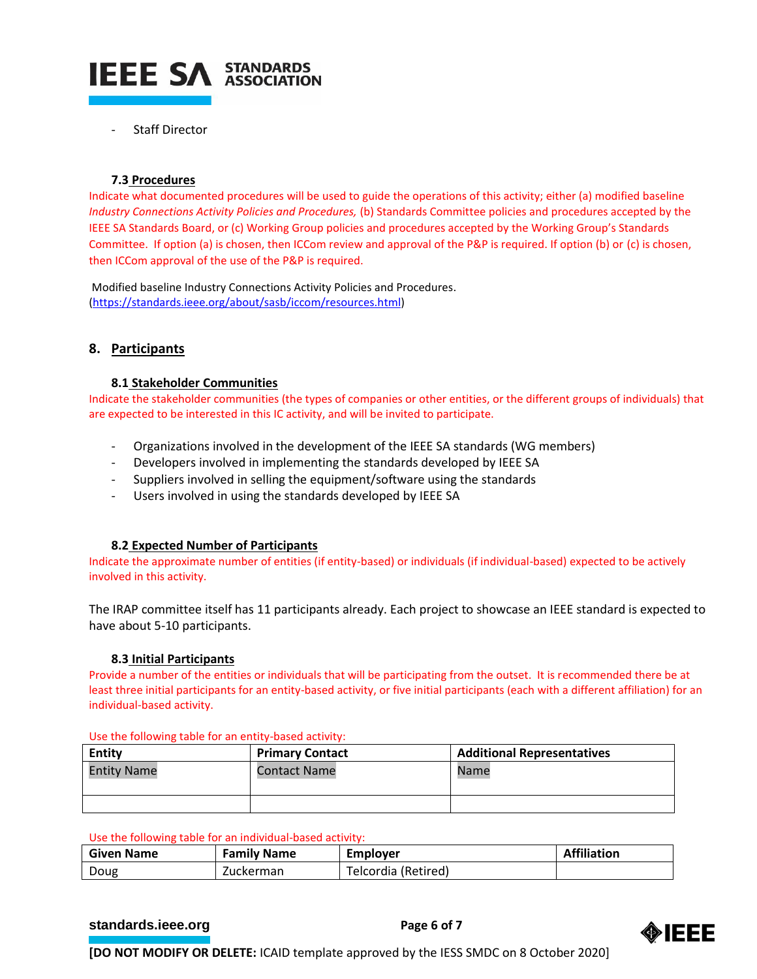

Staff Director

#### **7.3 Procedures**

Indicate what documented procedures will be used to guide the operations of this activity; either (a) modified baseline *Industry Connections Activity Policies and Procedures,* (b) Standards Committee policies and procedures accepted by the IEEE SA Standards Board, or (c) Working Group policies and procedures accepted by the Working Group's Standards Committee. If option (a) is chosen, then ICCom review and approval of the P&P is required. If option (b) or (c) is chosen, then ICCom approval of the use of the P&P is required.

Modified baseline Industry Connections Activity Policies and Procedures. [\(https://standards.ieee.org/about/sasb/iccom/resources.html\)](https://standards.ieee.org/about/sasb/iccom/resources.html)

# **8. Participants**

#### **8.1 Stakeholder Communities**

Indicate the stakeholder communities (the types of companies or other entities, or the different groups of individuals) that are expected to be interested in this IC activity, and will be invited to participate.

- Organizations involved in the development of the IEEE SA standards (WG members)
- Developers involved in implementing the standards developed by IEEE SA
- Suppliers involved in selling the equipment/software using the standards
- Users involved in using the standards developed by IEEE SA

# **8.2 Expected Number of Participants**

Indicate the approximate number of entities (if entity-based) or individuals (if individual-based) expected to be actively involved in this activity.

The IRAP committee itself has 11 participants already. Each project to showcase an IEEE standard is expected to have about 5-10 participants.

#### **8.3 Initial Participants**

Provide a number of the entities or individuals that will be participating from the outset. It is recommended there be at least three initial participants for an entity-based activity, or five initial participants (each with a different affiliation) for an individual-based activity.

| <b>Entity</b>      | <b>Primary Contact</b> | <b>Additional Representatives</b> |  |
|--------------------|------------------------|-----------------------------------|--|
| <b>Entity Name</b> | <b>Contact Name</b>    | Name                              |  |
|                    |                        |                                   |  |

Use the following table for an entity-based activity:

#### Use the following table for an individual-based activity:

| <b>Given Name</b> | <b>Family Name</b> | Emplover            | <b>Affiliation</b> |
|-------------------|--------------------|---------------------|--------------------|
| Doug              | Zuckerman          | Telcordia (Retired) |                    |

#### **[standards.ieee.org](http://standards.ieee.org/)**<br> **Page 6 of 7**